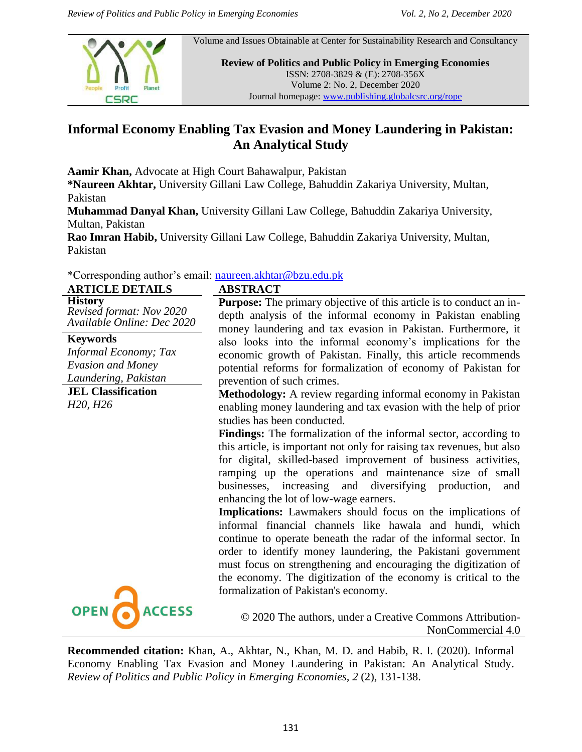

Volume and Issues Obtainable at Center for Sustainability Research and Consultancy

**Review of Politics and Public Policy in Emerging Economies** ISSN: 2708-3829 & (E): 2708-356X Volume 2: No. 2, December 2020 Journal homepage: www.publishing.globalcsrc.org/rope

# **Informal Economy Enabling Tax Evasion and Money Laundering in Pakistan: An Analytical Study**

**Aamir Khan,** Advocate at High Court Bahawalpur, Pakistan

**\*Naureen Akhtar,** University Gillani Law College, Bahuddin Zakariya University, Multan, Pakistan

**Muhammad Danyal Khan,** University Gillani Law College, Bahuddin Zakariya University, Multan, Pakistan

**Rao Imran Habib,** University Gillani Law College, Bahuddin Zakariya University, Multan, Pakistan

\*Corresponding author"s email: [naureen.akhtar@bzu.edu.pk](mailto:naureen.akhtar@bzu.edu.pk)

| <b>ARTICLE DETAILS</b>                                                   | <b>ABSTRACT</b>                                                                                                                                                                                                                                                                                                                                                                                                                           |
|--------------------------------------------------------------------------|-------------------------------------------------------------------------------------------------------------------------------------------------------------------------------------------------------------------------------------------------------------------------------------------------------------------------------------------------------------------------------------------------------------------------------------------|
| <b>History</b><br>Revised format: Nov 2020<br>Available Online: Dec 2020 | <b>Purpose:</b> The primary objective of this article is to conduct an in-<br>depth analysis of the informal economy in Pakistan enabling<br>money laundering and tax evasion in Pakistan. Furthermore, it                                                                                                                                                                                                                                |
| <b>Keywords</b>                                                          | also looks into the informal economy's implications for the                                                                                                                                                                                                                                                                                                                                                                               |
| <b>Informal Economy; Tax</b>                                             | economic growth of Pakistan. Finally, this article recommends                                                                                                                                                                                                                                                                                                                                                                             |
| <b>Evasion and Money</b>                                                 | potential reforms for formalization of economy of Pakistan for                                                                                                                                                                                                                                                                                                                                                                            |
| Laundering, Pakistan                                                     | prevention of such crimes.                                                                                                                                                                                                                                                                                                                                                                                                                |
| <b>JEL Classification</b><br>H <sub>20</sub> , H <sub>26</sub>           | Methodology: A review regarding informal economy in Pakistan<br>enabling money laundering and tax evasion with the help of prior<br>studies has been conducted.                                                                                                                                                                                                                                                                           |
|                                                                          | <b>Findings:</b> The formalization of the informal sector, according to<br>this article, is important not only for raising tax revenues, but also<br>for digital, skilled-based improvement of business activities,<br>ramping up the operations and maintenance size of small<br>increasing and diversifying production,<br>businesses,<br>and<br>enhancing the lot of low-wage earners.                                                 |
|                                                                          | Implications: Lawmakers should focus on the implications of<br>informal financial channels like hawala and hundi, which<br>continue to operate beneath the radar of the informal sector. In<br>order to identify money laundering, the Pakistani government<br>must focus on strengthening and encouraging the digitization of<br>the economy. The digitization of the economy is critical to the<br>formalization of Pakistan's economy. |
| <b>OPEN</b><br><b>ACCESS</b>                                             | © 2020 The authors, under a Creative Commons Attribution-<br>NonCommercial 4.0                                                                                                                                                                                                                                                                                                                                                            |

**Recommended citation:** Khan, A., Akhtar, N., Khan, M. D. and Habib, R. I. (2020). Informal Economy Enabling Tax Evasion and Money Laundering in Pakistan: An Analytical Study. *Review of Politics and Public Policy in Emerging Economies, 2* (2), 131-138.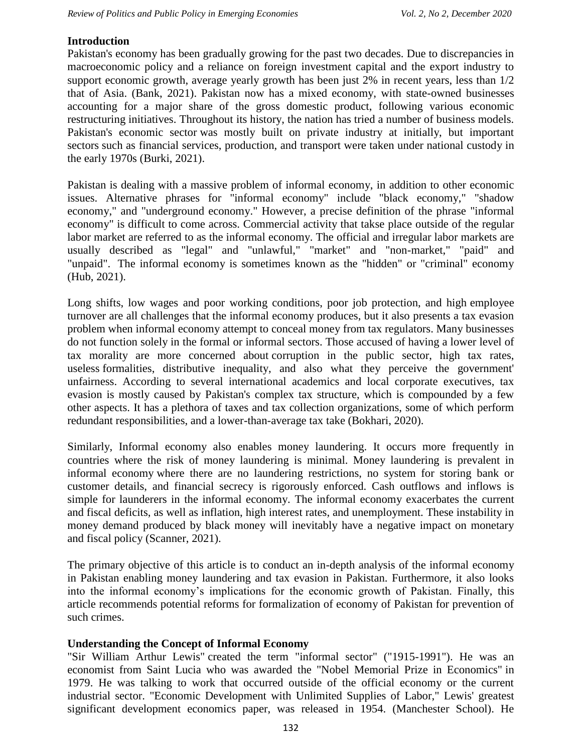### **Introduction**

Pakistan's economy has been gradually growing for the past two decades. Due to discrepancies in macroeconomic policy and a reliance on foreign investment capital and the export industry to support economic growth, average yearly growth has been just 2% in recent years, less than 1/2 that of Asia. (Bank, 2021). Pakistan now has a mixed economy, with state-owned businesses accounting for a major share of the gross domestic product, following various economic restructuring initiatives. Throughout its history, the nation has tried a number of business models. Pakistan's economic sector was mostly built on private industry at initially, but important sectors such as financial services, production, and transport were taken under national custody in the early 1970s (Burki, 2021).

Pakistan is dealing with a massive problem of informal economy, in addition to other economic issues. Alternative phrases for "informal economy" include "black economy," "shadow economy," and "underground economy." However, a precise definition of the phrase "informal economy" is difficult to come across. Commercial activity that takse place outside of the regular labor market are referred to as the informal economy. The official and irregular labor markets are usually described as "legal" and "unlawful," "market" and "non-market," "paid" and "unpaid". The informal economy is sometimes known as the "hidden" or "criminal" economy (Hub, 2021).

Long shifts, low wages and poor working conditions, poor job protection, and high employee turnover are all challenges that the informal economy produces, but it also presents a tax evasion problem when informal economy attempt to conceal money from tax regulators. Many businesses do not function solely in the formal or informal sectors. Those accused of having a lower level of tax morality are more concerned about corruption in the public sector, high tax rates, useless formalities, distributive inequality, and also what they perceive the government' unfairness. According to several international academics and local corporate executives, tax evasion is mostly caused by Pakistan's complex tax structure, which is compounded by a few other aspects. It has a plethora of taxes and tax collection organizations, some of which perform redundant responsibilities, and a lower-than-average tax take (Bokhari, 2020).

Similarly, Informal economy also enables money laundering. It occurs more frequently in countries where the risk of money laundering is minimal. Money laundering is prevalent in informal economy where there are no laundering restrictions, no system for storing bank or customer details, and financial secrecy is rigorously enforced. Cash outflows and inflows is simple for launderers in the informal economy. The informal economy exacerbates the current and fiscal deficits, as well as inflation, high interest rates, and unemployment. These instability in money demand produced by black money will inevitably have a negative impact on monetary and fiscal policy (Scanner, 2021).

The primary objective of this article is to conduct an in-depth analysis of the informal economy in Pakistan enabling money laundering and tax evasion in Pakistan. Furthermore, it also looks into the informal economy"s implications for the economic growth of Pakistan. Finally, this article recommends potential reforms for formalization of economy of Pakistan for prevention of such crimes.

### **Understanding the Concept of Informal Economy**

"Sir William Arthur Lewis" created the term "informal sector" ("1915-1991"). He was an economist from Saint Lucia who was awarded the "Nobel Memorial Prize in Economics" in 1979. He was talking to work that occurred outside of the official economy or the current industrial sector. "Economic Development with Unlimited Supplies of Labor," Lewis' greatest significant development economics paper, was released in 1954. (Manchester School). He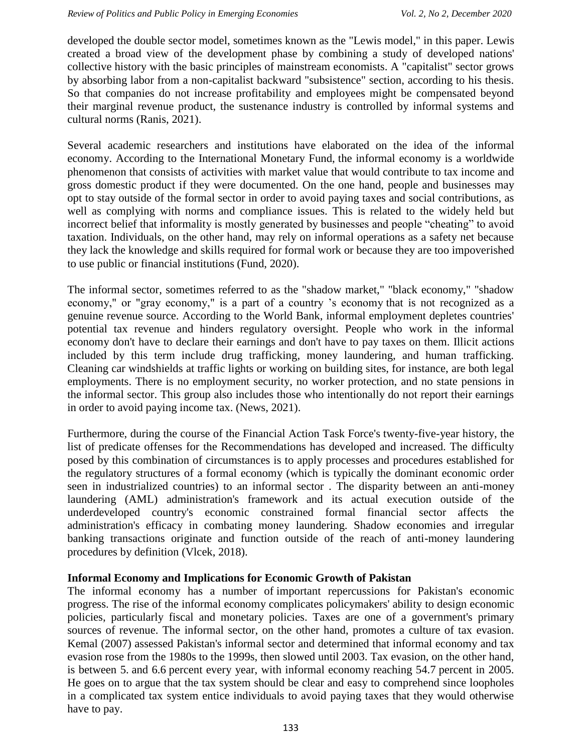developed the double sector model, sometimes known as the "Lewis model," in this paper. Lewis created a broad view of the development phase by combining a study of developed nations' collective history with the basic principles of mainstream economists. A "capitalist" sector grows by absorbing labor from a non-capitalist backward "subsistence" section, according to his thesis. So that companies do not increase profitability and employees might be compensated beyond their marginal revenue product, the sustenance industry is controlled by informal systems and cultural norms (Ranis, 2021).

Several academic researchers and institutions have elaborated on the idea of the informal economy. According to the International Monetary Fund, the informal economy is a worldwide phenomenon that consists of activities with market value that would contribute to tax income and gross domestic product if they were documented. On the one hand, people and businesses may opt to stay outside of the formal sector in order to avoid paying taxes and social contributions, as well as complying with norms and compliance issues. This is related to the widely held but incorrect belief that informality is mostly generated by businesses and people "cheating" to avoid taxation. Individuals, on the other hand, may rely on informal operations as a safety net because they lack the knowledge and skills required for formal work or because they are too impoverished to use public or financial institutions (Fund, 2020).

The informal sector, sometimes referred to as the "shadow market," "black economy," "shadow economy," or "gray economy," is a part of a country "s economy that is not recognized as a genuine revenue source. According to the World Bank, informal employment depletes countries' potential tax revenue and hinders regulatory oversight. People who work in the informal economy don't have to declare their earnings and don't have to pay taxes on them. Illicit actions included by this term include drug trafficking, money laundering, and human trafficking. Cleaning car windshields at traffic lights or working on building sites, for instance, are both legal employments. There is no employment security, no worker protection, and no state pensions in the informal sector. This group also includes those who intentionally do not report their earnings in order to avoid paying income tax. (News, 2021).

Furthermore, during the course of the Financial Action Task Force's twenty-five-year history, the list of predicate offenses for the Recommendations has developed and increased. The difficulty posed by this combination of circumstances is to apply processes and procedures established for the regulatory structures of a formal economy (which is typically the dominant economic order seen in industrialized countries) to an informal sector . The disparity between an anti-money laundering (AML) administration's framework and its actual execution outside of the underdeveloped country's economic constrained formal financial sector affects the administration's efficacy in combating money laundering. Shadow economies and irregular banking transactions originate and function outside of the reach of anti-money laundering procedures by definition (Vlcek, 2018).

### **Informal Economy and Implications for Economic Growth of Pakistan**

The informal economy has a number of important repercussions for Pakistan's economic progress. The rise of the informal economy complicates policymakers' ability to design economic policies, particularly fiscal and monetary policies. Taxes are one of a government's primary sources of revenue. The informal sector, on the other hand, promotes a culture of tax evasion. Kemal (2007) assessed Pakistan's informal sector and determined that informal economy and tax evasion rose from the 1980s to the 1999s, then slowed until 2003. Tax evasion, on the other hand, is between 5. and 6.6 percent every year, with informal economy reaching 54.7 percent in 2005. He goes on to argue that the tax system should be clear and easy to comprehend since loopholes in a complicated tax system entice individuals to avoid paying taxes that they would otherwise have to pay.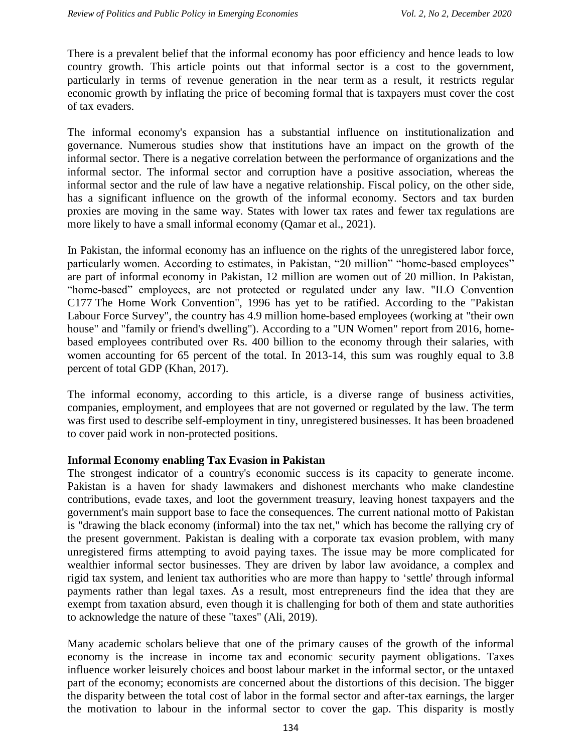There is a prevalent belief that the informal economy has poor efficiency and hence leads to low country growth. This article points out that informal sector is a cost to the government, particularly in terms of revenue generation in the near term as a result, it restricts regular economic growth by inflating the price of becoming formal that is taxpayers must cover the cost of tax evaders.

The informal economy's expansion has a substantial influence on institutionalization and governance. Numerous studies show that institutions have an impact on the growth of the informal sector. There is a negative correlation between the performance of organizations and the informal sector. The informal sector and corruption have a positive association, whereas the informal sector and the rule of law have a negative relationship. Fiscal policy, on the other side, has a significant influence on the growth of the informal economy. Sectors and tax burden proxies are moving in the same way. States with lower tax rates and fewer tax regulations are more likely to have a small informal economy (Qamar et al., 2021).

In Pakistan, the informal economy has an influence on the rights of the unregistered labor force, particularly women. According to estimates, in Pakistan, "20 million" "home-based employees" are part of informal economy in Pakistan, 12 million are women out of 20 million. In Pakistan, "home-based" employees, are not protected or regulated under any law. "ILO Convention C177 The Home Work Convention", 1996 has yet to be ratified. According to the "Pakistan Labour Force Survey", the country has 4.9 million home-based employees (working at "their own house" and "family or friend's dwelling"). According to a "UN Women" report from 2016, homebased employees contributed over Rs. 400 billion to the economy through their salaries, with women accounting for 65 percent of the total. In 2013-14, this sum was roughly equal to 3.8 percent of total GDP (Khan, 2017).

The informal economy, according to this article, is a diverse range of business activities, companies, employment, and employees that are not governed or regulated by the law. The term was first used to describe self-employment in tiny, unregistered businesses. It has been broadened to cover paid work in non-protected positions.

### **Informal Economy enabling Tax Evasion in Pakistan**

The strongest indicator of a country's economic success is its capacity to generate income. Pakistan is a haven for shady lawmakers and dishonest merchants who make clandestine contributions, evade taxes, and loot the government treasury, leaving honest taxpayers and the government's main support base to face the consequences. The current national motto of Pakistan is "drawing the black economy (informal) into the tax net," which has become the rallying cry of the present government. Pakistan is dealing with a corporate tax evasion problem, with many unregistered firms attempting to avoid paying taxes. The issue may be more complicated for wealthier informal sector businesses. They are driven by labor law avoidance, a complex and rigid tax system, and lenient tax authorities who are more than happy to "settle' through informal payments rather than legal taxes. As a result, most entrepreneurs find the idea that they are exempt from taxation absurd, even though it is challenging for both of them and state authorities to acknowledge the nature of these "taxes" (Ali, 2019).

Many academic scholars believe that one of the primary causes of the growth of the informal economy is the increase in income tax and economic security payment obligations. Taxes influence worker leisurely choices and boost labour market in the informal sector, or the untaxed part of the economy; economists are concerned about the distortions of this decision. The bigger the disparity between the total cost of labor in the formal sector and after-tax earnings, the larger the motivation to labour in the informal sector to cover the gap. This disparity is mostly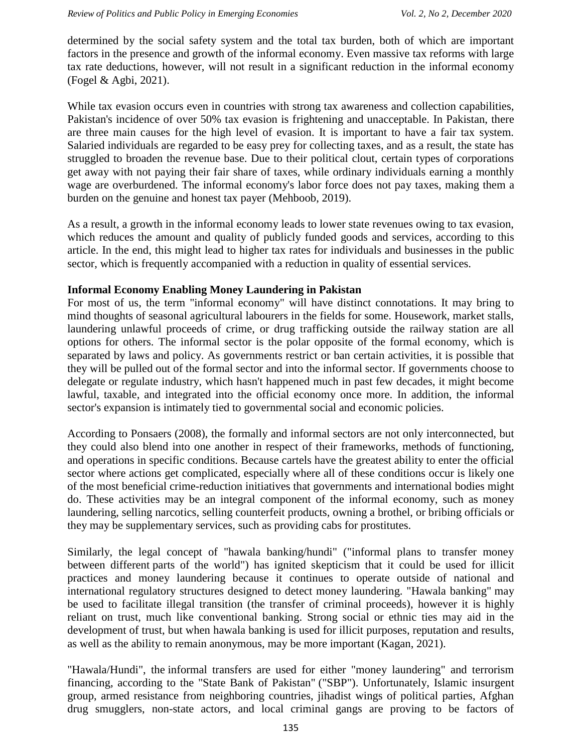determined by the social safety system and the total tax burden, both of which are important factors in the presence and growth of the informal economy. Even massive tax reforms with large tax rate deductions, however, will not result in a significant reduction in the informal economy (Fogel & Agbi, 2021).

While tax evasion occurs even in countries with strong tax awareness and collection capabilities, Pakistan's incidence of over 50% tax evasion is frightening and unacceptable. In Pakistan, there are three main causes for the high level of evasion. It is important to have a fair tax system. Salaried individuals are regarded to be easy prey for collecting taxes, and as a result, the state has struggled to broaden the revenue base. Due to their political clout, certain types of corporations get away with not paying their fair share of taxes, while ordinary individuals earning a monthly wage are overburdened. The informal economy's labor force does not pay taxes, making them a burden on the genuine and honest tax payer (Mehboob, 2019).

As a result, a growth in the informal economy leads to lower state revenues owing to tax evasion, which reduces the amount and quality of publicly funded goods and services, according to this article. In the end, this might lead to higher tax rates for individuals and businesses in the public sector, which is frequently accompanied with a reduction in quality of essential services.

### **Informal Economy Enabling Money Laundering in Pakistan**

For most of us, the term "informal economy" will have distinct connotations. It may bring to mind thoughts of seasonal agricultural labourers in the fields for some. Housework, market stalls, laundering unlawful proceeds of crime, or drug trafficking outside the railway station are all options for others. The informal sector is the polar opposite of the formal economy, which is separated by laws and policy. As governments restrict or ban certain activities, it is possible that they will be pulled out of the formal sector and into the informal sector. If governments choose to delegate or regulate industry, which hasn't happened much in past few decades, it might become lawful, taxable, and integrated into the official economy once more. In addition, the informal sector's expansion is intimately tied to governmental social and economic policies.

According to Ponsaers (2008), the formally and informal sectors are not only interconnected, but they could also blend into one another in respect of their frameworks, methods of functioning, and operations in specific conditions. Because cartels have the greatest ability to enter the official sector where actions get complicated, especially where all of these conditions occur is likely one of the most beneficial crime-reduction initiatives that governments and international bodies might do. These activities may be an integral component of the informal economy, such as money laundering, selling narcotics, selling counterfeit products, owning a brothel, or bribing officials or they may be supplementary services, such as providing cabs for prostitutes.

Similarly, the legal concept of "hawala banking/hundi" ("informal plans to transfer money between different parts of the world") has ignited skepticism that it could be used for illicit practices and money laundering because it continues to operate outside of national and international regulatory structures designed to detect money laundering. "Hawala banking" may be used to facilitate illegal transition (the transfer of criminal proceeds), however it is highly reliant on trust, much like conventional banking. Strong social or ethnic ties may aid in the development of trust, but when hawala banking is used for illicit purposes, reputation and results, as well as the ability to remain anonymous, may be more important (Kagan, 2021).

"Hawala/Hundi", the informal transfers are used for either "money laundering" and terrorism financing, according to the "State Bank of Pakistan" ("SBP"). Unfortunately, Islamic insurgent group, armed resistance from neighboring countries, jihadist wings of political parties, Afghan drug smugglers, non-state actors, and local criminal gangs are proving to be factors of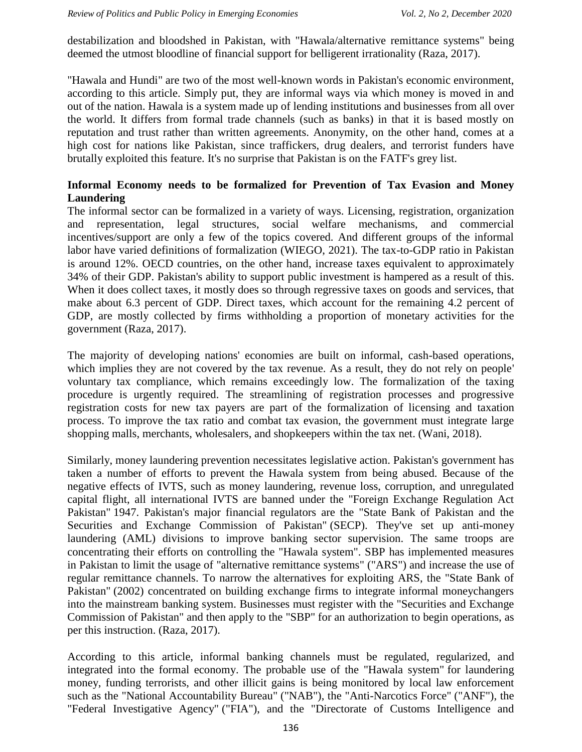destabilization and bloodshed in Pakistan, with "Hawala/alternative remittance systems" being deemed the utmost bloodline of financial support for belligerent irrationality (Raza, 2017).

"Hawala and Hundi" are two of the most well-known words in Pakistan's economic environment, according to this article. Simply put, they are informal ways via which money is moved in and out of the nation. Hawala is a system made up of lending institutions and businesses from all over the world. It differs from formal trade channels (such as banks) in that it is based mostly on reputation and trust rather than written agreements. Anonymity, on the other hand, comes at a high cost for nations like Pakistan, since traffickers, drug dealers, and terrorist funders have brutally exploited this feature. It's no surprise that Pakistan is on the FATF's grey list.

## **Informal Economy needs to be formalized for Prevention of Tax Evasion and Money Laundering**

The informal sector can be formalized in a variety of ways. Licensing, registration, organization and representation, legal structures, social welfare mechanisms, and commercial incentives/support are only a few of the topics covered. And different groups of the informal labor have varied definitions of formalization (WIEGO, 2021). The tax-to-GDP ratio in Pakistan is around 12%. OECD countries, on the other hand, increase taxes equivalent to approximately 34% of their GDP. Pakistan's ability to support public investment is hampered as a result of this. When it does collect taxes, it mostly does so through regressive taxes on goods and services, that make about 6.3 percent of GDP. Direct taxes, which account for the remaining 4.2 percent of GDP, are mostly collected by firms withholding a proportion of monetary activities for the government (Raza, 2017).

The majority of developing nations' economies are built on informal, cash-based operations, which implies they are not covered by the tax revenue. As a result, they do not rely on people' voluntary tax compliance, which remains exceedingly low. The formalization of the taxing procedure is urgently required. The streamlining of registration processes and progressive registration costs for new tax payers are part of the formalization of licensing and taxation process. To improve the tax ratio and combat tax evasion, the government must integrate large shopping malls, merchants, wholesalers, and shopkeepers within the tax net. (Wani, 2018).

Similarly, money laundering prevention necessitates legislative action. Pakistan's government has taken a number of efforts to prevent the Hawala system from being abused. Because of the negative effects of IVTS, such as money laundering, revenue loss, corruption, and unregulated capital flight, all international IVTS are banned under the "Foreign Exchange Regulation Act Pakistan" 1947. Pakistan's major financial regulators are the "State Bank of Pakistan and the Securities and Exchange Commission of Pakistan" (SECP). They've set up anti-money laundering (AML) divisions to improve banking sector supervision. The same troops are concentrating their efforts on controlling the "Hawala system". SBP has implemented measures in Pakistan to limit the usage of "alternative remittance systems" ("ARS") and increase the use of regular remittance channels. To narrow the alternatives for exploiting ARS, the "State Bank of Pakistan" (2002) concentrated on building exchange firms to integrate informal moneychangers into the mainstream banking system. Businesses must register with the "Securities and Exchange Commission of Pakistan" and then apply to the "SBP" for an authorization to begin operations, as per this instruction. (Raza, 2017).

According to this article, informal banking channels must be regulated, regularized, and integrated into the formal economy. The probable use of the "Hawala system" for laundering money, funding terrorists, and other illicit gains is being monitored by local law enforcement such as the "National Accountability Bureau" ("NAB"), the "Anti-Narcotics Force" ("ANF"), the "Federal Investigative Agency" ("FIA"), and the "Directorate of Customs Intelligence and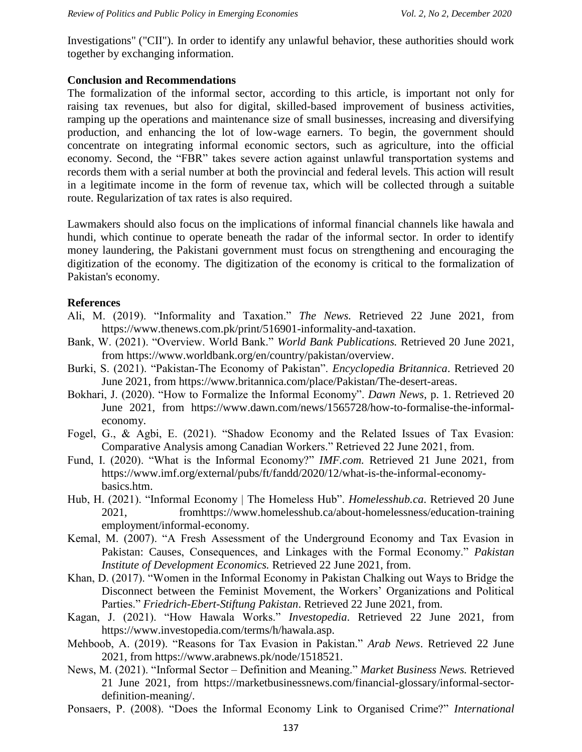Investigations" ("CII"). In order to identify any unlawful behavior, these authorities should work together by exchanging information.

### **Conclusion and Recommendations**

The formalization of the informal sector, according to this article, is important not only for raising tax revenues, but also for digital, skilled-based improvement of business activities, ramping up the operations and maintenance size of small businesses, increasing and diversifying production, and enhancing the lot of low-wage earners. To begin, the government should concentrate on integrating informal economic sectors, such as agriculture, into the official economy. Second, the "FBR" takes severe action against unlawful transportation systems and records them with a serial number at both the provincial and federal levels. This action will result in a legitimate income in the form of revenue tax, which will be collected through a suitable route. Regularization of tax rates is also required.

Lawmakers should also focus on the implications of informal financial channels like hawala and hundi, which continue to operate beneath the radar of the informal sector. In order to identify money laundering, the Pakistani government must focus on strengthening and encouraging the digitization of the economy. The digitization of the economy is critical to the formalization of Pakistan's economy.

#### **References**

- Ali, M. (2019). "Informality and Taxation." *The News.* Retrieved 22 June 2021, from https://www.thenews.com.pk/print/516901-informality-and-taxation.
- Bank, W. (2021). "Overview. World Bank." *World Bank Publications.* Retrieved 20 June 2021, from https://www.worldbank.org/en/country/pakistan/overview.
- Burki, S. (2021). "Pakistan-The Economy of Pakistan". *Encyclopedia Britannica*. Retrieved 20 June 2021, from https://www.britannica.com/place/Pakistan/The-desert-areas.
- Bokhari, J. (2020). "How to Formalize the Informal Economy". *Dawn News*, p. 1. Retrieved 20 June 2021, from https://www.dawn.com/news/1565728/how-to-formalise-the-informaleconomy.
- Fogel, G., & Agbi, E. (2021). "Shadow Economy and the Related Issues of Tax Evasion: Comparative Analysis among Canadian Workers." Retrieved 22 June 2021, from.
- Fund, I. (2020). "What is the Informal Economy?" *IMF.com.* Retrieved 21 June 2021, from https://www.imf.org/external/pubs/ft/fandd/2020/12/what-is-the-informal-economybasics.htm.
- Hub, H. (2021). "Informal Economy | The Homeless Hub". *Homelesshub.ca*. Retrieved 20 June 2021, fromhttps://www.homelesshub.ca/about-homelessness/education-training employment/informal-economy.
- Kemal, M. (2007). "A Fresh Assessment of the Underground Economy and Tax Evasion in Pakistan: Causes, Consequences, and Linkages with the Formal Economy." *Pakistan Institute of Development Economics.* Retrieved 22 June 2021, from.
- Khan, D. (2017). "Women in the Informal Economy in Pakistan Chalking out Ways to Bridge the Disconnect between the Feminist Movement, the Workers" Organizations and Political Parties." *Friedrich-Ebert-Stiftung Pakistan*. Retrieved 22 June 2021, from.
- Kagan, J. (2021). "How Hawala Works." *Investopedia*. Retrieved 22 June 2021, from https://www.investopedia.com/terms/h/hawala.asp.
- Mehboob, A. (2019). "Reasons for Tax Evasion in Pakistan." *Arab News*. Retrieved 22 June 2021, from https://www.arabnews.pk/node/1518521.
- News, M. (2021). "Informal Sector Definition and Meaning." *Market Business News.* Retrieved 21 June 2021, from https://marketbusinessnews.com/financial-glossary/informal-sectordefinition-meaning/.
- Ponsaers, P. (2008). "Does the Informal Economy Link to Organised Crime?" *International*